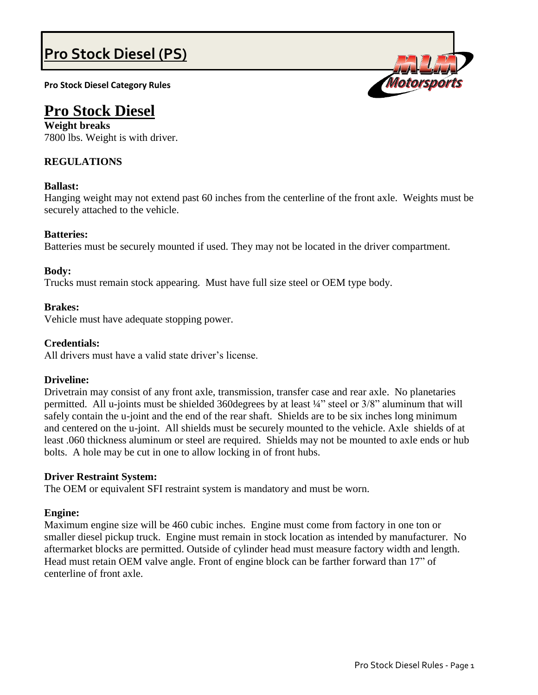# **Pro Stock Diesel (PS)**

**Pro Stock Diesel Category Rules**

# **Pro Stock Diesel**

**Weight breaks** 7800 lbs. Weight is with driver.

# **REGULATIONS**

# **Ballast:**

Hanging weight may not extend past 60 inches from the centerline of the front axle. Weights must be securely attached to the vehicle.

# **Batteries:**

Batteries must be securely mounted if used. They may not be located in the driver compartment.

# **Body:**

Trucks must remain stock appearing. Must have full size steel or OEM type body.

## **Brakes:**

Vehicle must have adequate stopping power.

# **Credentials:**

All drivers must have a valid state driver's license.

# **Driveline:**

Drivetrain may consist of any front axle, transmission, transfer case and rear axle. No planetaries permitted. All u-joints must be shielded 360degrees by at least ¼" steel or 3/8" aluminum that will safely contain the u-joint and the end of the rear shaft. Shields are to be six inches long minimum and centered on the u-joint. All shields must be securely mounted to the vehicle. Axle shields of at least .060 thickness aluminum or steel are required. Shields may not be mounted to axle ends or hub bolts. A hole may be cut in one to allow locking in of front hubs.

## **Driver Restraint System:**

The OEM or equivalent SFI restraint system is mandatory and must be worn.

## **Engine:**

Maximum engine size will be 460 cubic inches. Engine must come from factory in one ton or smaller diesel pickup truck. Engine must remain in stock location as intended by manufacturer. No aftermarket blocks are permitted. Outside of cylinder head must measure factory width and length. Head must retain OEM valve angle. Front of engine block can be farther forward than 17" of centerline of front axle.

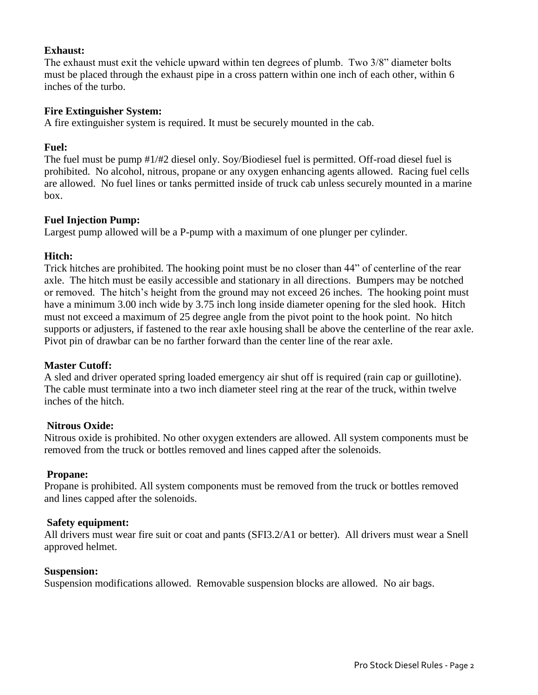# **Exhaust:**

The exhaust must exit the vehicle upward within ten degrees of plumb. Two 3/8" diameter bolts must be placed through the exhaust pipe in a cross pattern within one inch of each other, within 6 inches of the turbo.

# **Fire Extinguisher System:**

A fire extinguisher system is required. It must be securely mounted in the cab.

# **Fuel:**

The fuel must be pump #1/#2 diesel only. Soy/Biodiesel fuel is permitted. Off-road diesel fuel is prohibited. No alcohol, nitrous, propane or any oxygen enhancing agents allowed. Racing fuel cells are allowed. No fuel lines or tanks permitted inside of truck cab unless securely mounted in a marine box.

# **Fuel Injection Pump:**

Largest pump allowed will be a P-pump with a maximum of one plunger per cylinder.

# **Hitch:**

Trick hitches are prohibited. The hooking point must be no closer than 44" of centerline of the rear axle. The hitch must be easily accessible and stationary in all directions. Bumpers may be notched or removed. The hitch's height from the ground may not exceed 26 inches. The hooking point must have a minimum 3.00 inch wide by 3.75 inch long inside diameter opening for the sled hook. Hitch must not exceed a maximum of 25 degree angle from the pivot point to the hook point. No hitch supports or adjusters, if fastened to the rear axle housing shall be above the centerline of the rear axle. Pivot pin of drawbar can be no farther forward than the center line of the rear axle.

## **Master Cutoff:**

A sled and driver operated spring loaded emergency air shut off is required (rain cap or guillotine). The cable must terminate into a two inch diameter steel ring at the rear of the truck, within twelve inches of the hitch.

## **Nitrous Oxide:**

Nitrous oxide is prohibited. No other oxygen extenders are allowed. All system components must be removed from the truck or bottles removed and lines capped after the solenoids.

## **Propane:**

Propane is prohibited. All system components must be removed from the truck or bottles removed and lines capped after the solenoids.

## **Safety equipment:**

All drivers must wear fire suit or coat and pants (SFI3.2/A1 or better). All drivers must wear a Snell approved helmet.

## **Suspension:**

Suspension modifications allowed. Removable suspension blocks are allowed. No air bags.